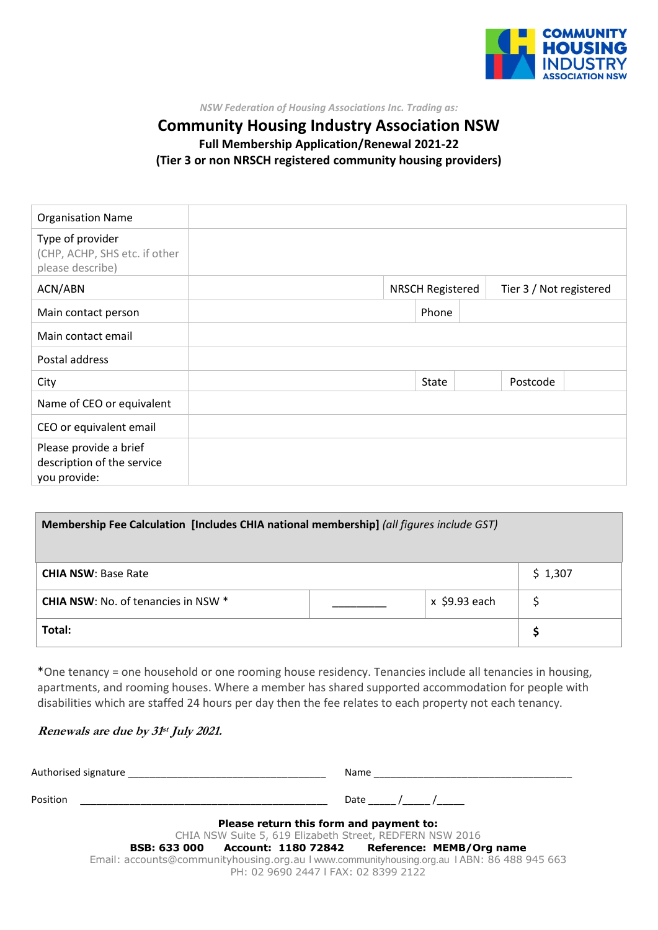

*NSW Federation of Housing Associations Inc. Trading as:*

### **Community Housing Industry Association NSW Full Membership Application/Renewal 2021-22 (Tier 3 or non NRSCH registered community housing providers)**

| <b>Organisation Name</b>                                              |  |  |                         |                         |  |
|-----------------------------------------------------------------------|--|--|-------------------------|-------------------------|--|
| Type of provider<br>(CHP, ACHP, SHS etc. if other<br>please describe) |  |  |                         |                         |  |
| ACN/ABN                                                               |  |  | <b>NRSCH Registered</b> | Tier 3 / Not registered |  |
| Main contact person                                                   |  |  | Phone                   |                         |  |
| Main contact email                                                    |  |  |                         |                         |  |
| Postal address                                                        |  |  |                         |                         |  |
| City                                                                  |  |  | State                   | Postcode                |  |
| Name of CEO or equivalent                                             |  |  |                         |                         |  |
| CEO or equivalent email                                               |  |  |                         |                         |  |
| Please provide a brief<br>description of the service<br>you provide:  |  |  |                         |                         |  |

| Membership Fee Calculation [Includes CHIA national membership] (all figures include GST) |         |               |  |  |  |
|------------------------------------------------------------------------------------------|---------|---------------|--|--|--|
| <b>CHIA NSW: Base Rate</b>                                                               | \$1,307 |               |  |  |  |
| <b>CHIA NSW: No. of tenancies in NSW *</b>                                               |         | x \$9.93 each |  |  |  |
| Total:                                                                                   |         |               |  |  |  |

\*One tenancy = one household or one rooming house residency. Tenancies include all tenancies in housing, apartments, and rooming houses. Where a member has shared supported accommodation for people with disabilities which are staffed 24 hours per day then the fee relates to each property not each tenancy.

#### **Renewals are due by 31 st July 2021.**

|          | Authorised signature<br>Name                                                                                                        |  |  |  |  |  |  |
|----------|-------------------------------------------------------------------------------------------------------------------------------------|--|--|--|--|--|--|
|          |                                                                                                                                     |  |  |  |  |  |  |
| Position | Date /                                                                                                                              |  |  |  |  |  |  |
|          |                                                                                                                                     |  |  |  |  |  |  |
|          | Please return this form and payment to:                                                                                             |  |  |  |  |  |  |
|          | CHIA NSW Suite 5, 619 Elizabeth Street, REDFERN NSW 2016                                                                            |  |  |  |  |  |  |
|          | Account: 1180 72842 Reference: MEMB/Org name<br><b>BSB: 633 000</b>                                                                 |  |  |  |  |  |  |
|          | Email: accounts@communityhousing.org.au   www.communityhousing.org.au   ABN: 86 488 945 663<br>PH: 02 9690 2447   FAX: 02 8399 2122 |  |  |  |  |  |  |